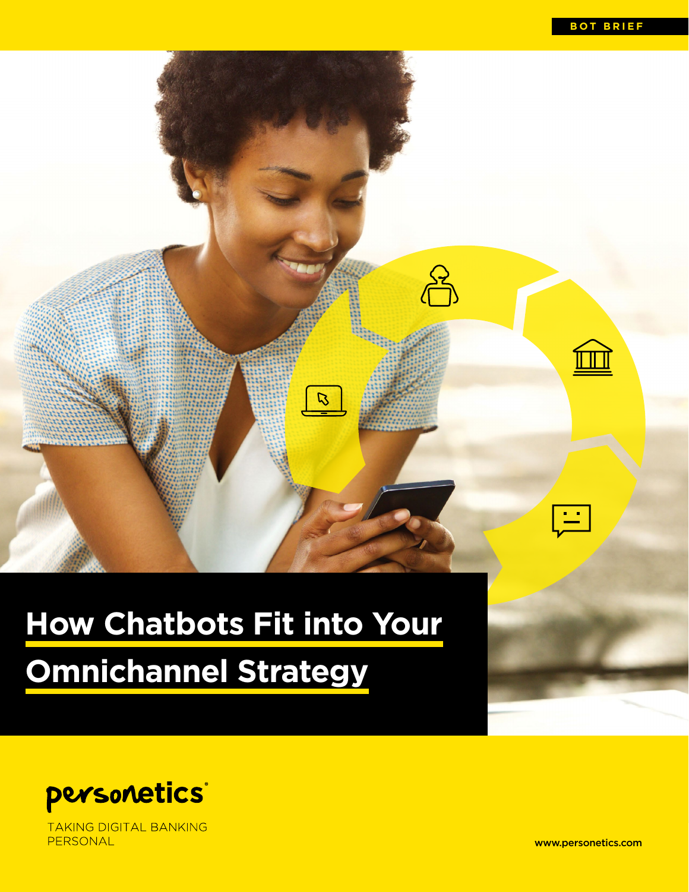

# **How Chatbots Fit into Your**

# **Omnichannel Strategy**



**TAKING DIGITAL BANKING** PERSONAL

www.personetics.com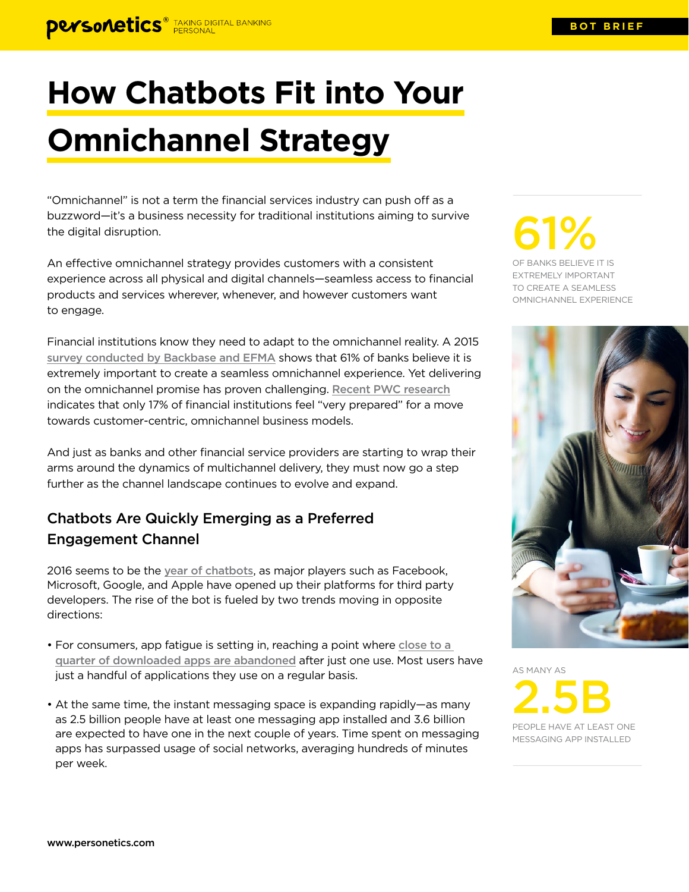# **How Chatbots Fit into Your Omnichannel Strategy**

"Omnichannel" is not a term the financial services industry can push off as a buzzword—it's a business necessity for traditional institutions aiming to survive the digital disruption.

An effective omnichannel strategy provides customers with a consistent experience across all physical and digital channels—seamless access to financial products and services wherever, whenever, and however customers want to engage.

Financial institutions know they need to adapt to the omnichannel reality. A 2015 [survey conducted by Backbase and EFMA](http://downloads.backbase.com/backbase-omni-channel-banking-report.pdf) shows that 61% of banks believe it is extremely important to create a seamless omnichannel experience. Yet delivering on the omnichannel promise has proven challenging. [Recent PWC research](https://www.pwc.com/us/en/financial-services/publications/assets/omnichannelbanking.pdf) indicates that only 17% of financial institutions feel "very prepared" for a move towards customer-centric, omnichannel business models.

And just as banks and other financial service providers are starting to wrap their arms around the dynamics of multichannel delivery, they must now go a step further as the channel landscape continues to evolve and expand.

## Chatbots Are Quickly Emerging as a Preferred Engagement Channel

2016 seems to be the [year of chatbots](http://knowledge.wharton.upenn.edu/article/rise-chatbots-time-embrace/), as major players such as Facebook, Microsoft, Google, and Apple have opened up their platforms for third party developers. The rise of the bot is fueled by two trends moving in opposite directions:

- For consumers, app fatigue is setting in, reaching a point where [close to a](http://info.localytics.com/blog/23-of-users-abandon-an-app-after-one-use)  [quarter of downloaded apps are abandoned](http://info.localytics.com/blog/23-of-users-abandon-an-app-after-one-use) after just one use. Most users have just a handful of applications they use on a regular basis.
- At the same time, the instant messaging space is expanding rapidly—as many as 2.5 billion people have at least one messaging app installed and 3.6 billion are expected to have one in the next couple of years. Time spent on messaging apps has surpassed usage of social networks, averaging hundreds of minutes per week.

61%

OF BANKS BELIEVE IT IS EXTREMELY IMPORTANT TO CREATE A SEAMLESS OMNICHANNEL EXPERIENCE



AS MANY AS

2.5B PEOPLE HAVE AT LEAST ONE MESSAGING APP INSTALLED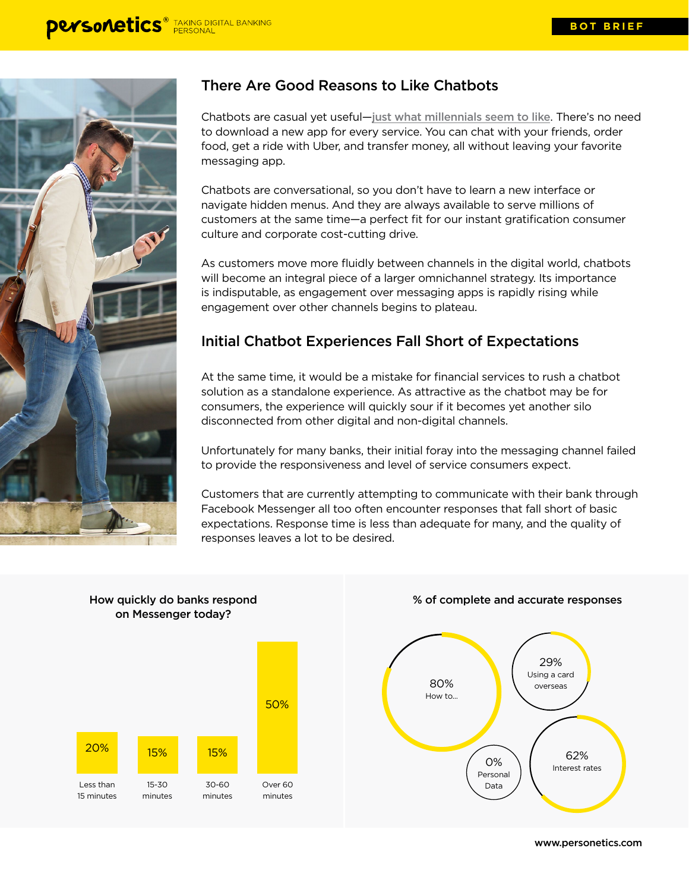

## There Are Good Reasons to Like Chatbots

Chatbots are casual yet useful—[just what millennials seem to like](http://www.forbes.com/sites/laurenfriedman/2016/06/22/chatbots-and-millennials-how-smart-brands-should-be-using-artificial-intelligence/#300e821026e9). There's no need to download a new app for every service. You can chat with your friends, order food, get a ride with Uber, and transfer money, all without leaving your favorite messaging app.

Chatbots are conversational, so you don't have to learn a new interface or navigate hidden menus. And they are always available to serve millions of customers at the same time—a perfect fit for our instant gratification consumer culture and corporate cost-cutting drive.

As customers move more fluidly between channels in the digital world, chatbots will become an integral piece of a larger omnichannel strategy. Its importance is indisputable, as engagement over messaging apps is rapidly rising while engagement over other channels begins to plateau.

### Initial Chatbot Experiences Fall Short of Expectations

At the same time, it would be a mistake for financial services to rush a chatbot solution as a standalone experience. As attractive as the chatbot may be for consumers, the experience will quickly sour if it becomes yet another silo disconnected from other digital and non-digital channels.

Unfortunately for many banks, their initial foray into the messaging channel failed to provide the responsiveness and level of service consumers expect.

Customers that are currently attempting to communicate with their bank through Facebook Messenger all too often encounter responses that fall short of basic expectations. Response time is less than adequate for many, and the quality of responses leaves a lot to be desired.



#### % of complete and accurate responses



www.personetics.com